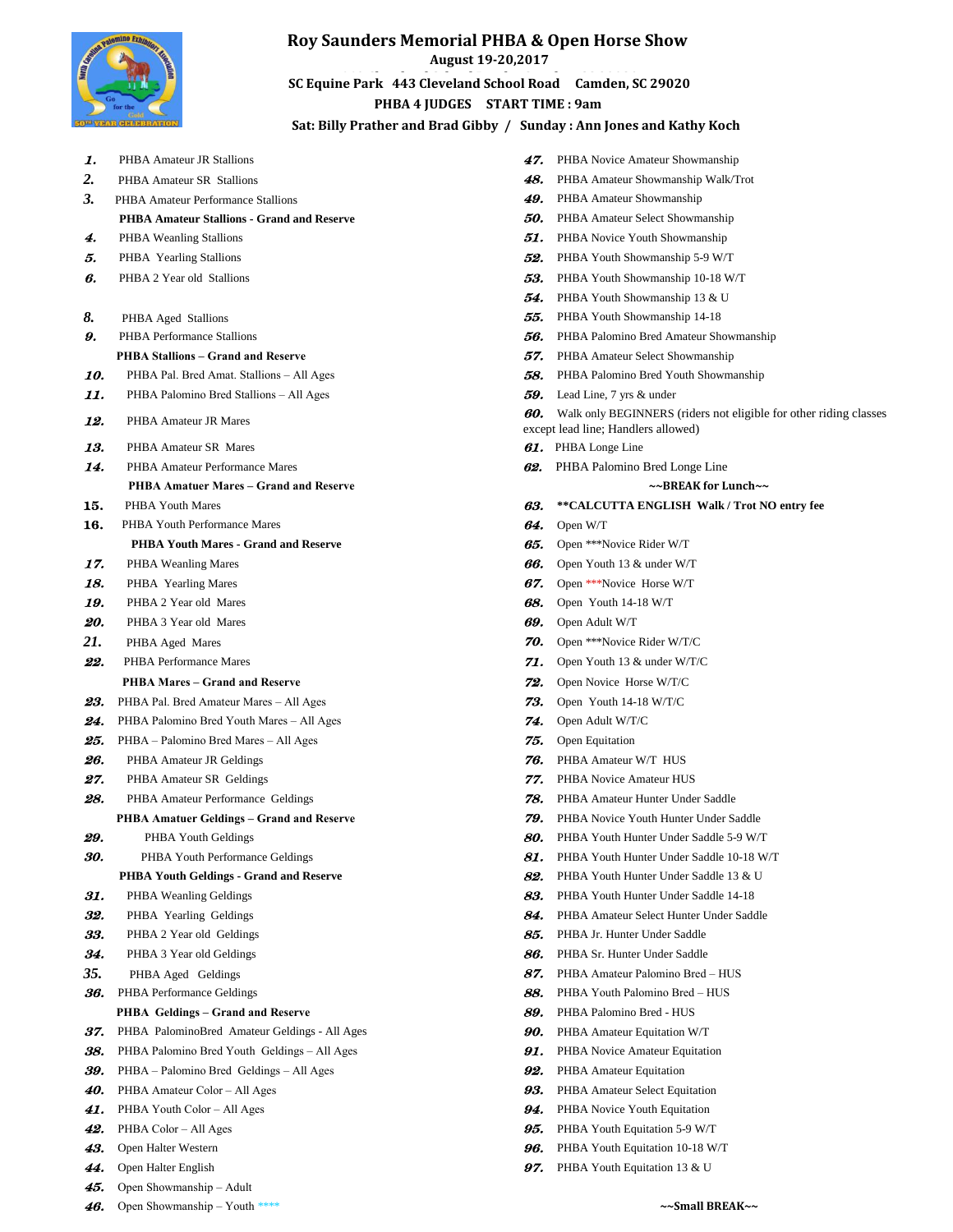

### **Roy Saunders Memorial PHBA & Open Horse Show**

**August 19-20,2017** 

**443 Cleveland School Road Camden, SC 29020 SC Equine Park 443 Cleveland School Road Camden, SC 29020 PHBA 4 JUDGES START TIME : 9am** 

### **Sat: Billy Prather and Brad Gibby / Sunday : Ann Jones and Kathy Koch**

| 1.         | PHBA Amateur JR Stallions                            | 47.        | PHBA No                           |
|------------|------------------------------------------------------|------------|-----------------------------------|
| 2.         | PHBA Amateur SR Stallions                            | 48.        | PHBA Am                           |
| 3.         | PHBA Amateur Performance Stallions                   | 49.        | PHBA Am                           |
|            | <b>PHBA Amateur Stallions - Grand and Reserve</b>    | 50.        | PHBA Am                           |
| 4.         | <b>PHBA</b> Weanling Stallions                       | 51.        | PHBA No                           |
| 5.         | PHBA Yearling Stallions                              | 52.        | PHBA YOU                          |
| в.         | PHBA 2 Year old Stallions                            | 53.        | PHBA YOU                          |
|            |                                                      | 54.        | PHBA YO                           |
| 8.         | PHBA Aged Stallions                                  | 55.        | PHBA YO                           |
| 9.         | PHBA Performance Stallions                           | 56.        | PHBA Pal                          |
|            | <b>PHBA Stallions - Grand and Reserve</b>            | 57.        | PHBA Am                           |
| 10.        | PHBA Pal. Bred Amat. Stallions - All Ages            | 58.        | PHBA Pal                          |
| 11.        | PHBA Palomino Bred Stallions - All Ages              | 59.        | Lead Line,                        |
| 12.        | PHBA Amateur JR Mares                                | 60.        | Walk only                         |
| 13.        | PHBA Amateur SR Mares                                |            | except lead line;<br>61. PHBA Lon |
| 14.        | PHBA Amateur Performance Mares                       | 62.        | PHBA Pal                          |
|            | <b>PHBA Amatuer Mares – Grand and Reserve</b>        |            |                                   |
| 15.        | PHBA Youth Mares                                     | 63.        | **CALCU                           |
| 16.        | PHBA Youth Performance Mares                         | 64.        | Open W/T                          |
|            | <b>PHBA Youth Mares - Grand and Reserve</b>          | 65.        | Open *** N                        |
| 17.        | PHBA Weanling Mares                                  | 66.        | Open You                          |
| 18.        | PHBA Yearling Mares                                  | 67.        | Open *** N                        |
| 19.        | PHBA 2 Year old Mares                                | 68.        | Open You                          |
| 20.        | PHBA 3 Year old Mares                                | 69.        | Open Adul                         |
| 21.        | PHBA Aged Mares                                      | 70.        | Open $***N$                       |
| 22.        | PHBA Performance Mares                               | 71.        | Open You                          |
|            | <b>PHBA Mares – Grand and Reserve</b>                | 72.        | Open Novi                         |
| 23.        | PHBA Pal. Bred Amateur Mares - All Ages              | 73.        | Open You                          |
| 24.        | PHBA Palomino Bred Youth Mares - All Ages            | 74.        | Open Adu                          |
| 25.        | PHBA – Palomino Bred Mares – All Ages                | 75.        | Open Equi                         |
| 26.        | PHBA Amateur JR Geldings                             | 76.        | PHBA Am                           |
| 27.        | PHBA Amateur SR Geldings                             | 77.        | PHBA No                           |
| 28.        | PHBA Amateur Performance Geldings                    | 78.        | PHBA Am                           |
|            | <b>PHBA Amatuer Geldings – Grand and Reserve</b>     | 79.        | PHBA No                           |
| 29.        | PHBA Youth Geldings                                  | 80.        | PHBA YO                           |
| 30.        | PHBA Youth Performance Geldings                      | 81.        | PHBA YO                           |
|            | PHBA Youth Geldings - Grand and Reserve              | 82.        | PHBA YO                           |
| 31.        | PHBA Weanling Geldings                               | 83.        | PHBA YO                           |
| 32.        | PHBA Yearling Geldings                               | 84.        | PHBA Am                           |
| 33.        | PHBA 2 Year old Geldings                             | 85.        | PHBA Jr.                          |
| 34.        | PHBA 3 Year old Geldings                             | 86.        | PHBA Sr.                          |
| 35.        | PHBA Aged Geldings                                   | 87.        | PHBA Am                           |
| 36.        | PHBA Performance Geldings                            | 88.        | PHBA YO                           |
|            | <b>PHBA</b> Geldings - Grand and Reserve             | 89.        | PHBA Pal                          |
| 37.        | PHBA PalominoBred Amateur Geldings - All Ages        | 90.        | PHBA Am                           |
| 38.        | PHBA Palomino Bred Youth Geldings - All Ages         | 91.        | PHBA No                           |
| 39.        | PHBA – Palomino Bred Geldings – All Ages             | 92.        | PHBA Am                           |
| 40.<br>41. | PHBA Amateur Color - All Ages                        | 93.<br>94. | PHBA Am                           |
| 42.        | PHBA Youth Color - All Ages<br>PHBA Color - All Ages | 95.        | PHBA No<br>PHBA YO                |
| 43.        | Open Halter Western                                  | 96.        | PHBA YO                           |
| 44.        | Open Halter English                                  | 97.        | PHBA YO                           |
| 45.        | Open Showmanship - Adult                             |            |                                   |
|            |                                                      |            |                                   |

47. PHBA Novice Amateur Showmanship 48. PHBA Amateur Showmanship Walk/Trot 49. PHBA Amateur Showmanship **50.** PHBA Amateur Select Showmanship 51. PHBA Novice Youth Showmanship 52. PHBA Youth Showmanship 5-9 W/T 53. PHBA Youth Showmanship 10-18 W/T 54. PHBA Youth Showmanship 13 & U 55. PHBA Youth Showmanship 14-18 56. PHBA Palomino Bred Amateur Showmanship 57. PHBA Amateur Select Showmanship 10. **58.** PHBA Palomino Bred Youth Showmanship 59. Lead Line, 7 yrs & under 60. Walk only BEGINNERS (riders not eligible for other riding classes except lead line; Handlers allowed) **61.** PHBA Longe Line 62. PHBA Palomino Bred Longe Line  **PHBA Amatuer Mares – Grand and Reserve ~~BREAK for Lunch~~** 63. \*\*CALCUTTA ENGLISH Walk / Trot NO entry fee *B5.* Open \*\*\*Novice Rider W/T 66. Open Youth 13 & under W/T 67. Open \*\*\*Novice Horse W/T 68. Open Youth 14-18 W/T 69. Open Adult W/T *70.* Open \*\*\*Novice Rider W/T/C **71.** Open Youth 13 & under W/T/C  **PHBA Mares – Grand and Reserve** 72.Open Novice Horse W/T/C **73.** Open Youth 14-18 W/T/C zes **74.** Open Adult W/T/C 75. Open Equitation 76. PHBA Amateur W/T HUS **77.** PHBA Novice Amateur HUS 78. PHBA Amateur Hunter Under Saddle  **PHBA Amatuer Geldings – Grand and Reserve** 79.PHBA Novice Youth Hunter Under Saddle 80. PHBA Youth Hunter Under Saddle 5-9 W/T 81. PHBA Youth Hunter Under Saddle 10-18 W/T **82.** PHBA Youth Hunter Under Saddle 13 & U 83. PHBA Youth Hunter Under Saddle 14-18 84. PHBA Amateur Select Hunter Under Saddle 85. PHBA Jr. Hunter Under Saddle 86. PHBA Sr. Hunter Under Saddle 87. PHBA Amateur Palomino Bred – HUS 88. PHBA Youth Palomino Bred – HUS 89. PHBA Palomino Bred - HUS 37. PHBA Amateur Equitation W/T

- Ages **91. PHBA Novice Amateur Equitation**
- s **92. PHBA Amateur Equitation** 
	- 93. PHBA Amateur Select Equitation
	- **94.** PHBA Novice Youth Equitation
	- 95. PHBA Youth Equitation 5-9 W/T
	- 96. PHBA Youth Equitation 10-18 W/T
	- 97. PHBA Youth Equitation 13 & U
- 46.Open Showmanship Youth \*\*\*\* **~~Small BREAK~~**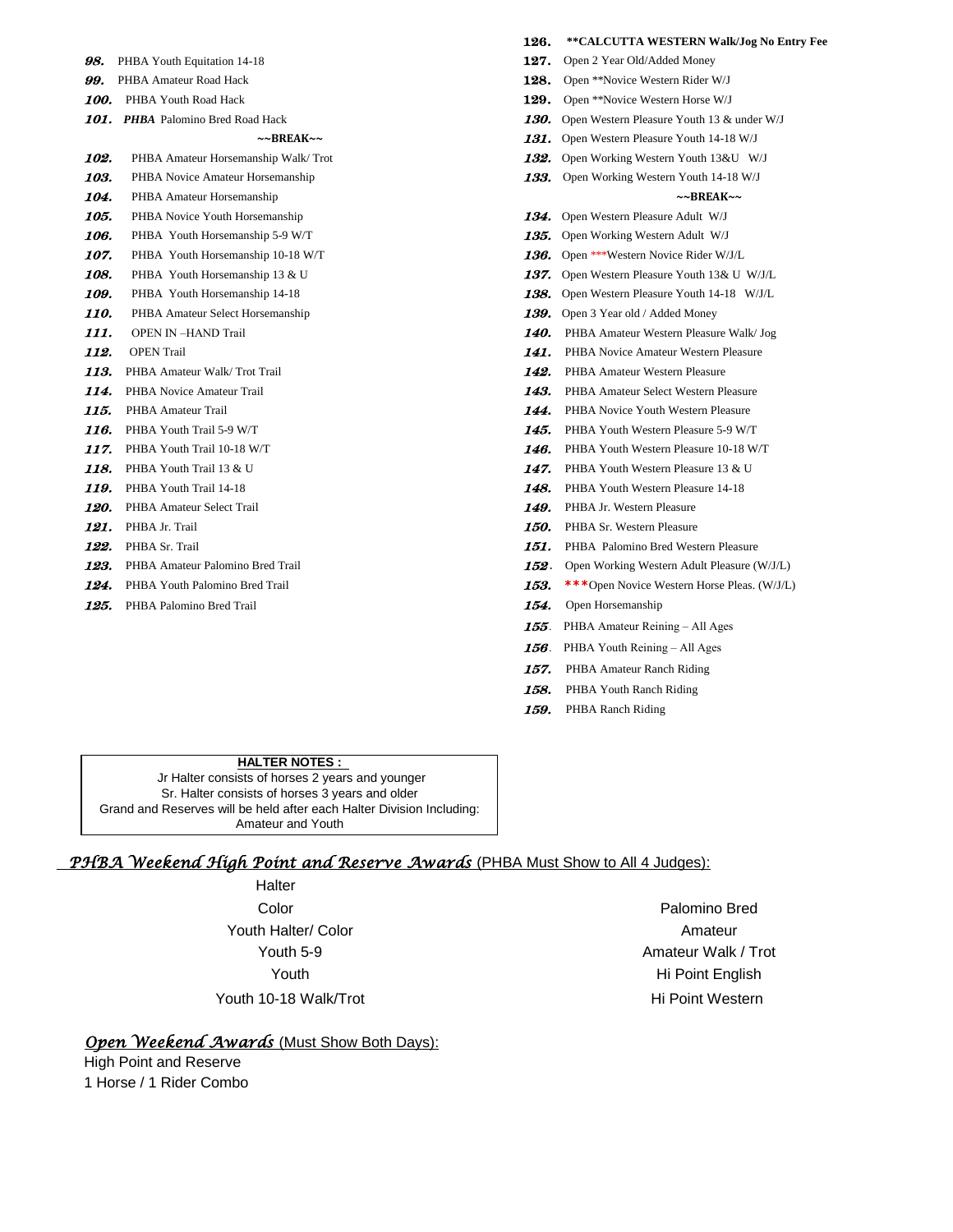| 98.  | PHBA Youth Equitation 14-18         | 127.        | Open 2 Year Old/Added Money                       |  |
|------|-------------------------------------|-------------|---------------------------------------------------|--|
| 99.  | PHBA Amateur Road Hack              | 128.        | Open **Novice Western Rider W/J                   |  |
| 100. | PHBA Youth Road Hack                | 129.        | Open **Novice Western Horse W/J                   |  |
|      | 101. PHBA Palomino Bred Road Hack   | 130.        | Open Western Pleasure Youth 13 & under W/J        |  |
|      | $~\sim$ BREAK $\sim$                |             | 131. Open Western Pleasure Youth 14-18 W/J        |  |
| 102. | PHBA Amateur Horsemanship Walk/Trot | 132.        | Open Working Western Youth 13&U W/J               |  |
| 103. | PHBA Novice Amateur Horsemanship    |             | 133. Open Working Western Youth 14-18 W/J         |  |
| 104. | PHBA Amateur Horsemanship           |             | $~\sim$ BREAK $\sim$                              |  |
| 105. | PHBA Novice Youth Horsemanship      |             | 134. Open Western Pleasure Adult W/J              |  |
| 106. | PHBA Youth Horsemanship 5-9 W/T     | 135.        | Open Working Western Adult W/J                    |  |
| 107. | PHBA Youth Horsemanship 10-18 W/T   | 136.        | Open ***Western Novice Rider W/J/L                |  |
| 108. | PHBA Youth Horsemanship 13 & U      | 137.        | Open Western Pleasure Youth 13& U W/J/L           |  |
| 109. | PHBA Youth Horsemanship 14-18       | 138.        | Open Western Pleasure Youth 14-18 W/J/L           |  |
| 110. | PHBA Amateur Select Horsemanship    |             | <b>139.</b> Open 3 Year old / Added Money         |  |
| 111. | <b>OPEN IN-HAND Trail</b>           | <b>140.</b> | PHBA Amateur Western Pleasure Walk/ Jog           |  |
| 112. | <b>OPEN Trail</b>                   | 141.        | PHBA Novice Amateur Western Pleasure              |  |
| 113. | PHBA Amateur Walk/Trot Trail        | 142.        | PHBA Amateur Western Pleasure                     |  |
| 114. | PHBA Novice Amateur Trail           | 143.        | PHBA Amateur Select Western Pleasure              |  |
| 115. | PHBA Amateur Trail                  | 144.        | PHBA Novice Youth Western Pleasure                |  |
| 116. | PHBA Youth Trail 5-9 W/T            | 145.        | PHBA Youth Western Pleasure 5-9 W/T               |  |
| 117. | PHBA Youth Trail 10-18 W/T          | 146.        | PHBA Youth Western Pleasure 10-18 W/T             |  |
| 118. | PHBA Youth Trail 13 & U             | 147.        | PHBA Youth Western Pleasure 13 & U                |  |
| 119. | PHBA Youth Trail 14-18              | 148.        | PHBA Youth Western Pleasure 14-18                 |  |
| 120. | PHBA Amateur Select Trail           | 149.        | PHBA Jr. Western Pleasure                         |  |
| 121. | PHBA Jr. Trail                      | 150.        | PHBA Sr. Western Pleasure                         |  |
| 122. | PHBA Sr. Trail                      | 151.        | PHBA Palomino Bred Western Pleasure               |  |
| 123. | PHBA Amateur Palomino Bred Trail    | 152.        | Open Working Western Adult Pleasure (W/J/I        |  |
| 124. | PHBA Youth Palomino Bred Trail      | 153.        | <b>***</b> Open Novice Western Horse Pleas. (W/J/ |  |
| 125. | PHBA Palomino Bred Trail            | 154.        | Open Horsemanship                                 |  |

|      |                                     | 126. | **CALCUTTA WESTERN Walk/Jog No Entry Fee    |  |
|------|-------------------------------------|------|---------------------------------------------|--|
| 98.  | PHBA Youth Equitation 14-18         | 127. | Open 2 Year Old/Added Money                 |  |
| 99.  | PHBA Amateur Road Hack              | 128. | Open **Novice Western Rider W/J             |  |
| 100. | PHBA Youth Road Hack                | 129. | Open **Novice Western Horse W/J             |  |
|      | 101. PHBA Palomino Bred Road Hack   | 130. | Open Western Pleasure Youth 13 & under W/J  |  |
|      | $~\sim$ BREAK $\sim$                | 131. | Open Western Pleasure Youth 14-18 W/J       |  |
| 102. | PHBA Amateur Horsemanship Walk/Trot | 132. | Open Working Western Youth 13&U W/J         |  |
| 103. | PHBA Novice Amateur Horsemanship    | 133. | Open Working Western Youth 14-18 W/J        |  |
| 104. | PHBA Amateur Horsemanship           |      | ~~BREAK~~                                   |  |
| 105. | PHBA Novice Youth Horsemanship      | 134. | Open Western Pleasure Adult W/J             |  |
| 106. | PHBA Youth Horsemanship 5-9 W/T     | 135. | Open Working Western Adult W/J              |  |
| 107. | PHBA Youth Horsemanship 10-18 W/T   | 136. | Open ***Western Novice Rider W/J/L          |  |
| 108. | PHBA Youth Horsemanship 13 & U      | 137. | Open Western Pleasure Youth 13& U W/J/L     |  |
| 109. | PHBA Youth Horsemanship 14-18       | 138. | Open Western Pleasure Youth 14-18 W/J/L     |  |
| 110. | PHBA Amateur Select Horsemanship    | 139. | Open 3 Year old / Added Money               |  |
| 111. | <b>OPEN IN -HAND Trail</b>          | 140. | PHBA Amateur Western Pleasure Walk/ Jog     |  |
| 112. | <b>OPEN</b> Trail                   | 141. | PHBA Novice Amateur Western Pleasure        |  |
| 113. | PHBA Amateur Walk/Trot Trail        | 142. | PHBA Amateur Western Pleasure               |  |
| 114. | PHBA Novice Amateur Trail           | 143. | PHBA Amateur Select Western Pleasure        |  |
| 115. | PHBA Amateur Trail                  | 144. | PHBA Novice Youth Western Pleasure          |  |
| 116. | PHBA Youth Trail 5-9 W/T            | 145. | PHBA Youth Western Pleasure 5-9 W/T         |  |
| 117. | PHBA Youth Trail 10-18 W/T          | 146. | PHBA Youth Western Pleasure 10-18 W/T       |  |
| 118. | PHBA Youth Trail 13 & U             | 147. | PHBA Youth Western Pleasure 13 & U          |  |
| 119. | PHBA Youth Trail 14-18              | 148. | PHBA Youth Western Pleasure 14-18           |  |
| 120. | PHBA Amateur Select Trail           | 149. | PHBA Jr. Western Pleasure                   |  |
| 121. | PHBA Jr. Trail                      | 150. | PHBA Sr. Western Pleasure                   |  |
| 122. | PHBA Sr. Trail                      | 151. | PHBA Palomino Bred Western Pleasure         |  |
| 123. | PHBA Amateur Palomino Bred Trail    | 152. | Open Working Western Adult Pleasure (W/J/L) |  |
| 124. | PHBA Youth Palomino Bred Trail      | 153. | ***Open Novice Western Horse Pleas. (W/J/L) |  |
| 125. | PHBA Palomino Bred Trail            | 154. | Open Horsemanship                           |  |
|      |                                     | 155. | PHBA Amateur Reining - All Ages             |  |
|      |                                     | 156. | PHBA Youth Reining – All Ages               |  |
|      |                                     | 157. | PHBA Amateur Ranch Riding                   |  |
|      |                                     | 158. | PHBA Youth Ranch Riding                     |  |
|      |                                     |      |                                             |  |

### 159. PHBA Ranch Riding

#### **HALTER NOTES :**

 Jr Halter consists of horses 2 years and younger Sr. Halter consists of horses 3 years and older Grand and Reserves will be held after each Halter Division Including: Amateur and Youth

## *PHBA Weekend High Point and Reserve Awards* (PHBA Must Show to All 4 Judges):

Halter Color Palomino Bred Youth Halter/ Color **Amateur** Amateur Youth 10-18 Walk/Trot **Himmas** Walk Western Himmas Himmas Himmas Himmas Himmas Himmas Himmas Himmas Himmas Himmas H

Youth 5-9 **Amateur Walk / Trot** Youth **Hi Point English** 

# *Open Weekend Awards* (Must Show Both Days):

High Point and Reserve 1 Horse / 1 Rider Combo